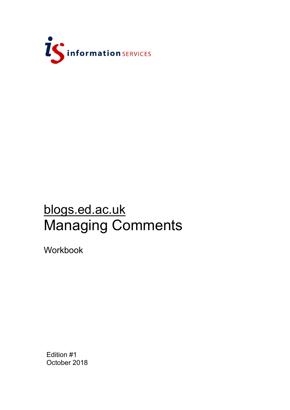

# blogs.ed.ac.uk Managing Comments

Workbook

Edition #1 October 2018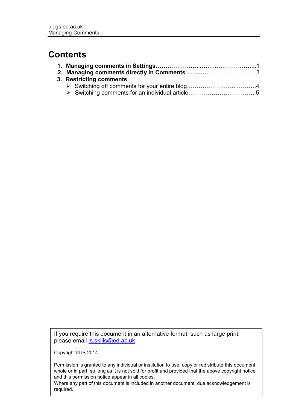# **Contents**

|  |  | 3. Restricting comments |  |
|--|--|-------------------------|--|
|  |  |                         |  |
|  |  |                         |  |

If you require this document in an alternative format, such as large print, please email [is.skills@ed.ac.uk.](mailto:is.skills@ed.ac.uk)

Copyright © IS 2014

Permission is granted to any individual or institution to use, copy or redistribute this document whole or in part, so long as it is not sold for profit and provided that the above copyright notice and this permission notice appear in all copies.

Where any part of this document is included in another document, due acknowledgement is required.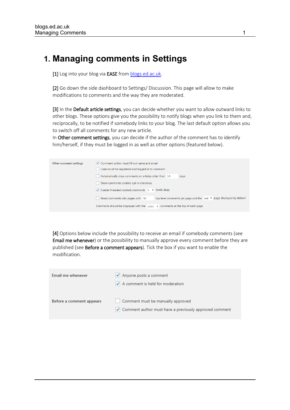## **1. Managing comments in Settings**

[1] Log into your blog via EASE fro[m blogs.ed.ac.uk.](http://blogs.ed.ac.uk/)

[2] Go down the side dashboard to Settings/ Discussion. This page will allow to make modifications to comments and the way they are moderated.

[3] In the Default article settings, you can decide whether you want to allow outward links to other blogs. These options give you the possibility to notify blogs when you link to them and, reciprocally, to be notified if somebody links to your blog. The last default option allows you to switch off all comments for any new article.

In Other comment settings, you can decide if the author of the comment has to identify him/herself, if they must be logged in as well as other options (featured below).

| Other comment settings | √ Comment author must fill out name and email                                                                   |  |  |
|------------------------|-----------------------------------------------------------------------------------------------------------------|--|--|
|                        | Users must be registered and logged in to comment                                                               |  |  |
|                        | Automatically close comments on articles older than 14<br>days                                                  |  |  |
|                        | Show comments cookies opt-in checkbox.                                                                          |  |  |
|                        | $\blacktriangleright$ Enable threaded (nested) comments $\blacktriangleright$ $\blacktriangleright$ levels deep |  |  |
|                        | top level comments per page and the last v   page displayed by default<br>Break comments into pages with 50     |  |  |
|                        | Comments should be displayed with the $\left  \right $ older $\left  \right $ comments at the top of each page  |  |  |

[4] Options below include the possibility to receive an email if somebody comments (see Email me whenever) or the possibility to manually approve every comment before they are published (see Before a comment appears). Tick the box if you want to enable the modification.

| Email me whenever        | Anyone posts a comment                                           |  |  |
|--------------------------|------------------------------------------------------------------|--|--|
|                          | $\blacktriangleright$ A comment is held for moderation           |  |  |
|                          |                                                                  |  |  |
| Before a comment appears | Comment must be manually approved                                |  |  |
|                          | $\sqrt{}$ Comment author must have a previously approved comment |  |  |
|                          |                                                                  |  |  |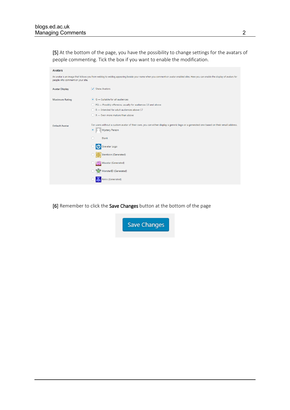[5] At the bottom of the page, you have the possibility to change settings for the avatars of people commenting. Tick the box if you want to enable the modification.

| <b>Avatars</b>                                                                                                                                                                                                       |                                                                                                                                                                                                     |  |  |
|----------------------------------------------------------------------------------------------------------------------------------------------------------------------------------------------------------------------|-----------------------------------------------------------------------------------------------------------------------------------------------------------------------------------------------------|--|--|
| An avatar is an image that follows you from weblog to weblog appearing beside your name when you comment on avatar enabled sites. Here you can enable the display of avatars for<br>people who comment on your site. |                                                                                                                                                                                                     |  |  |
| <b>Avatar Display</b>                                                                                                                                                                                                | Show Avatars                                                                                                                                                                                        |  |  |
| <b>Maximum Rating</b>                                                                                                                                                                                                | $\bullet$ $G$ - Suitable for all audiences                                                                                                                                                          |  |  |
|                                                                                                                                                                                                                      | PG - Possibly offensive, usually for audiences 13 and above                                                                                                                                         |  |  |
|                                                                                                                                                                                                                      | R - Intended for adult audiences above 17                                                                                                                                                           |  |  |
|                                                                                                                                                                                                                      | $\bigcirc$ X - Even more mature than above                                                                                                                                                          |  |  |
| <b>Default Avatar</b>                                                                                                                                                                                                | For users without a custom avatar of their own, you can either display a generic logo or a generated one based on their email address.<br>$\circledbullet$<br><b>Mystery Person</b><br><b>Blank</b> |  |  |
|                                                                                                                                                                                                                      | <b>C</b> Gravatar Logo                                                                                                                                                                              |  |  |
|                                                                                                                                                                                                                      | Generated)                                                                                                                                                                                          |  |  |
|                                                                                                                                                                                                                      | C٦<br>Wavatar (Generated)                                                                                                                                                                           |  |  |
|                                                                                                                                                                                                                      | MonsterID (Generated)                                                                                                                                                                               |  |  |
|                                                                                                                                                                                                                      | Retro (Generated)                                                                                                                                                                                   |  |  |

[6] Remember to click the Save Changes button at the bottom of the page

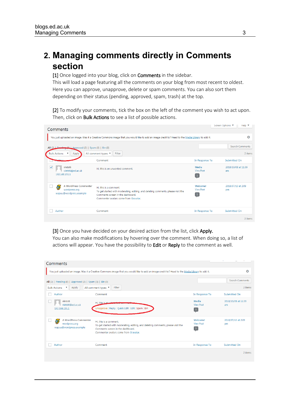# **2. Managing comments directly in Comments section**

[1] Once logged into your blog, click on Comments in the sidebar.

This will load a page featuring all the comments on your blog from most recent to oldest. Here you can approve, unapprove, delete or spam comments. You can also sort them depending on their status (pending, approved, spam, trash) at the top.

[2] To modify your comments, tick the box on the left of the comment you wish to act upon. Then, click on **Bulk Actions** to see a list of possible actions.

| Comments                                                                                    |                                                                                                                                                                                          |                                              | Screen Options ▼<br>Help $\Psi$ |
|---------------------------------------------------------------------------------------------|------------------------------------------------------------------------------------------------------------------------------------------------------------------------------------------|----------------------------------------------|---------------------------------|
|                                                                                             | You just uploaded an image. Was it a Creative Commons image that you would like to add an image credit to? Head to the Media Library to add it.                                          |                                              | $\boldsymbol{\omega}$           |
| All (2) L. Dending (9) L. Approved (2)   Spam (3)   Bin (0)<br><b>Bulk Actions</b><br>Apply | All comment types ▼<br>Filter                                                                                                                                                            |                                              | Search Comments<br>2 items      |
|                                                                                             | Comment                                                                                                                                                                                  | In Response To                               | Submitted On                    |
| vletst6<br>$\blacktriangledown$<br>vletst6@ed.ac.uk<br>192.168.151.1                        | Hi, this is an unwanted comment.                                                                                                                                                         | Media<br><b>View Post</b><br>$\vert 1 \vert$ | 2018/10/08 at 11:39<br>am       |
| A WordPress Commenter<br>处<br>wordpress.org<br>wapuu@wordpress.example                      | Hi, this is a comment.<br>To get started with moderating, editing, and deleting comments, please visit the<br>Comments screen in the dashboard.<br>Commenter avatars come from Gravatar. | Welcome!<br><b>View Post</b><br>$\mathbf{1}$ | 2018/07/13 at 2:09<br>pm        |
| Author                                                                                      | Comment                                                                                                                                                                                  | In Response To                               | Submitted On                    |
|                                                                                             |                                                                                                                                                                                          |                                              | 2 items                         |

[3] Once you have decided on your desired action from the list, click Apply. You can also make modifications by hovering over the comment. When doing so, a list of actions will appear. You have the possibility to Edit or Reply to the comment as well.

| Comments                                                                                       |                                                                                                                                                                                          |                                              | D.                                |
|------------------------------------------------------------------------------------------------|------------------------------------------------------------------------------------------------------------------------------------------------------------------------------------------|----------------------------------------------|-----------------------------------|
|                                                                                                | You just uploaded an image. Was it a Creative Commons image that you would like to add an image credit to? Head to the Media Library to add it.                                          |                                              | $\boldsymbol{\Omega}$             |
| All (2)   Pending (0)   Approved (2)   Spam (3)   Bin (0)<br><b>Bulk Actions</b><br>Apply<br>▼ | Filter<br>All comment types ▼                                                                                                                                                            |                                              | <b>Search Comments</b><br>2 items |
| Author                                                                                         | Comment                                                                                                                                                                                  | In Response To                               | Submitted On                      |
| vletst6<br>vletst6@ed.ac.uk<br>192.168.151.1                                                   | Hi, this is an unuse<br>Jnapprove   Reply   Quick Edit   Edit   Spam   Bin                                                                                                               | Media<br><b>View Post</b><br>$\mathbf{1}$    | 2018/10/08 at 11:39<br>am         |
| A WordPress Commenter<br>Ó,<br>wordpress.org<br>wapuu@wordpress.example                        | Hi, this is a comment.<br>To get started with moderating, editing, and deleting comments, please visit the<br>Comments screen in the dashboard.<br>Commenter avatars come from Gravatar. | Welcome!<br><b>View Post</b><br>$\mathbf{1}$ | 2018/07/13 at 2:09<br>pm          |
| Author                                                                                         | Comment                                                                                                                                                                                  | In Response To                               | <b>Submitted On</b>               |
|                                                                                                |                                                                                                                                                                                          |                                              | 2 items                           |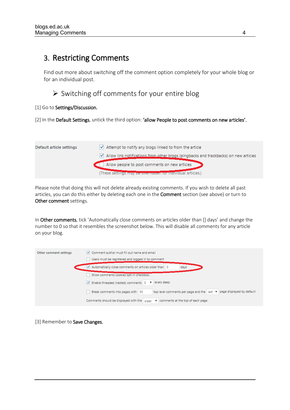## 3. Restricting Comments

Find out more about switching off the comment option completely for your whole blog or for an individual post.

➢ Switching off comments for your entire blog

#### [1] Go to Settings/Discussion.

[2] In the Default Settings, untick the third option: 'allow People to post comments on new articles'.



Please note that doing this will not delete already existing comments. If you wish to delete all past articles, you can do this either by deleting each one in the **Comment** section (see above) or turn to Other comment settings.

In Other comments, tick 'Automatically close comments on articles older than [] days' and change the number to 0 so that it resembles the screenshot below. This will disable all comments for any article on your blog.

| Other comment settings | √ Comment author must fill out name and email                                                                |  |  |
|------------------------|--------------------------------------------------------------------------------------------------------------|--|--|
|                        | Users must be registered and logged in to comment                                                            |  |  |
|                        | Automatically close comments on articles older than 0<br>days                                                |  |  |
|                        | Show comments cookies opt-in checkbox.                                                                       |  |  |
|                        | Enable threaded (nested) comments $5$ $\blacktriangledown$ levels deep                                       |  |  |
|                        | Break comments into pages with 50<br>top level comments per page and the last v page displayed by default    |  |  |
|                        | Comments should be displayed with the $ _{\text{older}} \blacktriangledown$ comments at the top of each page |  |  |

[3] Remember to Save Changes.